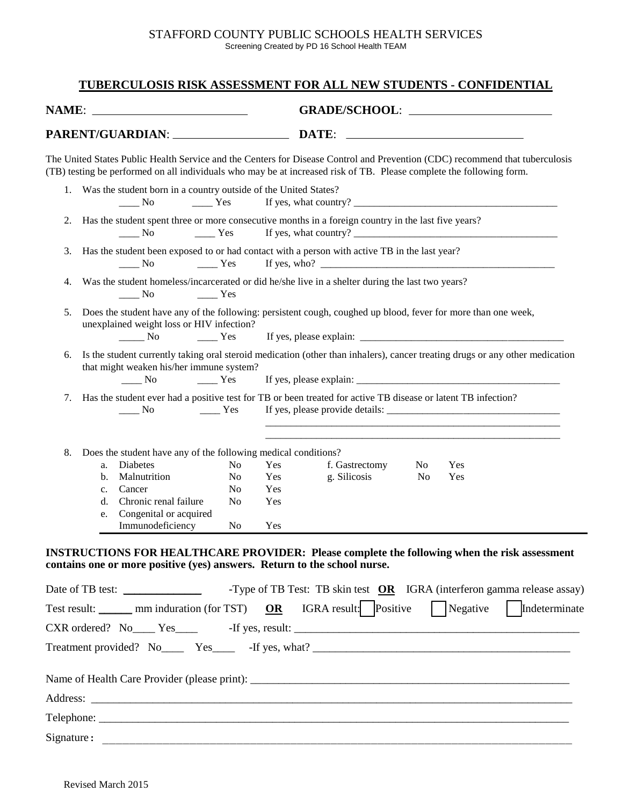## STAFFORD COUNTY PUBLIC SCHOOLS HEALTH SERVICES Screening Created by PD 16 School Health TEAM

## **TUBERCULOSIS RISK ASSESSMENT FOR ALL NEW STUDENTS - CONFIDENTIAL**

| NAME: _<br><u> 1989 - Johann Barbara, martin a</u> |                                                                                                                                                           |                                                                                                                                                                                                                                                      |                |     |                                                                                                                                                                                                                                                                                                                                                                                         |                |                                                                                                                     |                                                                         |  |
|----------------------------------------------------|-----------------------------------------------------------------------------------------------------------------------------------------------------------|------------------------------------------------------------------------------------------------------------------------------------------------------------------------------------------------------------------------------------------------------|----------------|-----|-----------------------------------------------------------------------------------------------------------------------------------------------------------------------------------------------------------------------------------------------------------------------------------------------------------------------------------------------------------------------------------------|----------------|---------------------------------------------------------------------------------------------------------------------|-------------------------------------------------------------------------|--|
|                                                    |                                                                                                                                                           | PARENT/GUARDIAN: ____________________                                                                                                                                                                                                                |                |     | DATE:                                                                                                                                                                                                                                                                                                                                                                                   |                | <u>and the control of the control of the control of the control of the control of the control of the control of</u> |                                                                         |  |
|                                                    |                                                                                                                                                           | The United States Public Health Service and the Centers for Disease Control and Prevention (CDC) recommend that tuberculosis<br>(TB) testing be performed on all individuals who may be at increased risk of TB. Please complete the following form. |                |     |                                                                                                                                                                                                                                                                                                                                                                                         |                |                                                                                                                     |                                                                         |  |
|                                                    |                                                                                                                                                           | 1. Was the student born in a country outside of the United States?<br>$\frac{1}{\sqrt{1-\frac{1}{2}}}$ No<br>$\frac{1}{1}$ Yes                                                                                                                       |                |     |                                                                                                                                                                                                                                                                                                                                                                                         |                |                                                                                                                     |                                                                         |  |
| 2.                                                 |                                                                                                                                                           | Has the student spent three or more consecutive months in a foreign country in the last five years?<br>No.<br>$\rule{1em}{0.15mm}$ Yes                                                                                                               |                |     | If yes, what country? $\frac{1}{\sqrt{1-\frac{1}{2}}}\left\{ \frac{1}{2} + \frac{1}{2} + \frac{1}{2} + \frac{1}{2} + \frac{1}{2} + \frac{1}{2} + \frac{1}{2} + \frac{1}{2} + \frac{1}{2} + \frac{1}{2} + \frac{1}{2} + \frac{1}{2} + \frac{1}{2} + \frac{1}{2} + \frac{1}{2} + \frac{1}{2} + \frac{1}{2} + \frac{1}{2} + \frac{1}{2} + \frac{1}{2} + \frac{1}{2} + \frac{1}{2} + \frac$ |                |                                                                                                                     |                                                                         |  |
| 3.                                                 | Has the student been exposed to or had contact with a person with active TB in the last year?<br>$\frac{1}{1}$ Yes<br>$\frac{1}{\sqrt{1-\frac{1}{2}}}$ No |                                                                                                                                                                                                                                                      |                |     |                                                                                                                                                                                                                                                                                                                                                                                         |                |                                                                                                                     |                                                                         |  |
| 4.                                                 | Was the student homeless/incarcerated or did he/she live in a shelter during the last two years?<br>No.<br>$\frac{1}{1}$ Yes                              |                                                                                                                                                                                                                                                      |                |     |                                                                                                                                                                                                                                                                                                                                                                                         |                |                                                                                                                     |                                                                         |  |
| 5.                                                 |                                                                                                                                                           | Does the student have any of the following: persistent cough, coughed up blood, fever for more than one week,<br>unexplained weight loss or HIV infection?<br>$\frac{1}{1}$ No $\frac{1}{1}$ Yes                                                     |                |     |                                                                                                                                                                                                                                                                                                                                                                                         |                |                                                                                                                     |                                                                         |  |
| 6.                                                 |                                                                                                                                                           | Is the student currently taking oral steroid medication (other than inhalers), cancer treating drugs or any other medication<br>that might weaken his/her immune system?<br>$\frac{1}{\sqrt{1-\frac{1}{2}}}$ No<br>Yes                               |                |     |                                                                                                                                                                                                                                                                                                                                                                                         |                |                                                                                                                     |                                                                         |  |
| 7.                                                 |                                                                                                                                                           | Has the student ever had a positive test for TB or been treated for active TB disease or latent TB infection?<br>$\frac{1}{2}$ Yes<br>$\frac{1}{\sqrt{1-\frac{1}{2}}}$ No                                                                            |                |     |                                                                                                                                                                                                                                                                                                                                                                                         |                |                                                                                                                     |                                                                         |  |
| 8.                                                 |                                                                                                                                                           | Does the student have any of the following medical conditions?                                                                                                                                                                                       |                |     |                                                                                                                                                                                                                                                                                                                                                                                         |                |                                                                                                                     |                                                                         |  |
|                                                    | a.                                                                                                                                                        | Diabetes                                                                                                                                                                                                                                             | No             | Yes | f. Gastrectomy                                                                                                                                                                                                                                                                                                                                                                          | N <sub>0</sub> | Yes                                                                                                                 |                                                                         |  |
|                                                    | b.                                                                                                                                                        | Malnutrition                                                                                                                                                                                                                                         | No             | Yes | g. Silicosis                                                                                                                                                                                                                                                                                                                                                                            | No             | Yes                                                                                                                 |                                                                         |  |
|                                                    | c.                                                                                                                                                        | Cancer                                                                                                                                                                                                                                               | N <sub>0</sub> | Yes |                                                                                                                                                                                                                                                                                                                                                                                         |                |                                                                                                                     |                                                                         |  |
|                                                    | d.                                                                                                                                                        | Chronic renal failure                                                                                                                                                                                                                                | No             | Yes |                                                                                                                                                                                                                                                                                                                                                                                         |                |                                                                                                                     |                                                                         |  |
|                                                    | e.                                                                                                                                                        | Congenital or acquired<br>Immunodeficiency                                                                                                                                                                                                           | No             | Yes |                                                                                                                                                                                                                                                                                                                                                                                         |                |                                                                                                                     |                                                                         |  |
|                                                    |                                                                                                                                                           | INSTRUCTIONS FOR HEALTHCARE PROVIDER: Please complete the following when the risk assessment<br>contains one or more positive (yes) answers. Return to the school nurse.                                                                             |                |     |                                                                                                                                                                                                                                                                                                                                                                                         |                |                                                                                                                     |                                                                         |  |
|                                                    |                                                                                                                                                           |                                                                                                                                                                                                                                                      |                |     |                                                                                                                                                                                                                                                                                                                                                                                         |                |                                                                                                                     | -Type of TB Test: TB skin test OR IGRA (interferon gamma release assay) |  |
|                                                    |                                                                                                                                                           | Test result: _______ mm induration (for TST) $OR$ IGRA result: Positive $\Box$ Negative                                                                                                                                                              |                |     |                                                                                                                                                                                                                                                                                                                                                                                         |                |                                                                                                                     | Indeterminate                                                           |  |
|                                                    |                                                                                                                                                           |                                                                                                                                                                                                                                                      |                |     |                                                                                                                                                                                                                                                                                                                                                                                         |                |                                                                                                                     |                                                                         |  |
|                                                    |                                                                                                                                                           | Treatment provided? No Yes Figures, what?                                                                                                                                                                                                            |                |     |                                                                                                                                                                                                                                                                                                                                                                                         |                |                                                                                                                     |                                                                         |  |
|                                                    |                                                                                                                                                           |                                                                                                                                                                                                                                                      |                |     |                                                                                                                                                                                                                                                                                                                                                                                         |                |                                                                                                                     |                                                                         |  |
|                                                    |                                                                                                                                                           |                                                                                                                                                                                                                                                      |                |     |                                                                                                                                                                                                                                                                                                                                                                                         |                |                                                                                                                     |                                                                         |  |
|                                                    |                                                                                                                                                           |                                                                                                                                                                                                                                                      |                |     |                                                                                                                                                                                                                                                                                                                                                                                         |                |                                                                                                                     |                                                                         |  |
|                                                    |                                                                                                                                                           |                                                                                                                                                                                                                                                      |                |     |                                                                                                                                                                                                                                                                                                                                                                                         |                |                                                                                                                     |                                                                         |  |